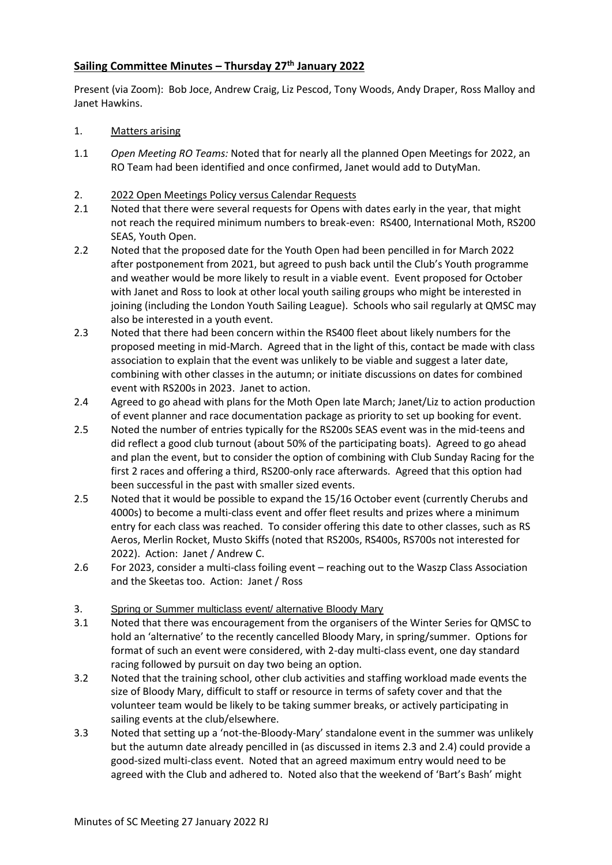## **Sailing Committee Minutes – Thursday 27th January 2022**

Present (via Zoom): Bob Joce, Andrew Craig, Liz Pescod, Tony Woods, Andy Draper, Ross Malloy and Janet Hawkins.

## 1. Matters arising

1.1 *Open Meeting RO Teams:* Noted that for nearly all the planned Open Meetings for 2022, an RO Team had been identified and once confirmed, Janet would add to DutyMan.

## 2. 2022 Open Meetings Policy versus Calendar Requests

- 2.1 Noted that there were several requests for Opens with dates early in the year, that might not reach the required minimum numbers to break-even: RS400, International Moth, RS200 SEAS, Youth Open.
- 2.2 Noted that the proposed date for the Youth Open had been pencilled in for March 2022 after postponement from 2021, but agreed to push back until the Club's Youth programme and weather would be more likely to result in a viable event. Event proposed for October with Janet and Ross to look at other local youth sailing groups who might be interested in joining (including the London Youth Sailing League). Schools who sail regularly at QMSC may also be interested in a youth event.
- 2.3 Noted that there had been concern within the RS400 fleet about likely numbers for the proposed meeting in mid-March. Agreed that in the light of this, contact be made with class association to explain that the event was unlikely to be viable and suggest a later date, combining with other classes in the autumn; or initiate discussions on dates for combined event with RS200s in 2023. Janet to action.
- 2.4 Agreed to go ahead with plans for the Moth Open late March; Janet/Liz to action production of event planner and race documentation package as priority to set up booking for event.
- 2.5 Noted the number of entries typically for the RS200s SEAS event was in the mid-teens and did reflect a good club turnout (about 50% of the participating boats). Agreed to go ahead and plan the event, but to consider the option of combining with Club Sunday Racing for the first 2 races and offering a third, RS200-only race afterwards. Agreed that this option had been successful in the past with smaller sized events.
- 2.5 Noted that it would be possible to expand the 15/16 October event (currently Cherubs and 4000s) to become a multi-class event and offer fleet results and prizes where a minimum entry for each class was reached. To consider offering this date to other classes, such as RS Aeros, Merlin Rocket, Musto Skiffs (noted that RS200s, RS400s, RS700s not interested for 2022). Action: Janet / Andrew C.
- 2.6 For 2023, consider a multi-class foiling event reaching out to the Waszp Class Association and the Skeetas too. Action: Janet / Ross
- 3. Spring or Summer multiclass event/ alternative Bloody Mary
- 3.1 Noted that there was encouragement from the organisers of the Winter Series for QMSC to hold an 'alternative' to the recently cancelled Bloody Mary, in spring/summer. Options for format of such an event were considered, with 2-day multi-class event, one day standard racing followed by pursuit on day two being an option.
- 3.2 Noted that the training school, other club activities and staffing workload made events the size of Bloody Mary, difficult to staff or resource in terms of safety cover and that the volunteer team would be likely to be taking summer breaks, or actively participating in sailing events at the club/elsewhere.
- 3.3 Noted that setting up a 'not-the-Bloody-Mary' standalone event in the summer was unlikely but the autumn date already pencilled in (as discussed in items 2.3 and 2.4) could provide a good-sized multi-class event. Noted that an agreed maximum entry would need to be agreed with the Club and adhered to. Noted also that the weekend of 'Bart's Bash' might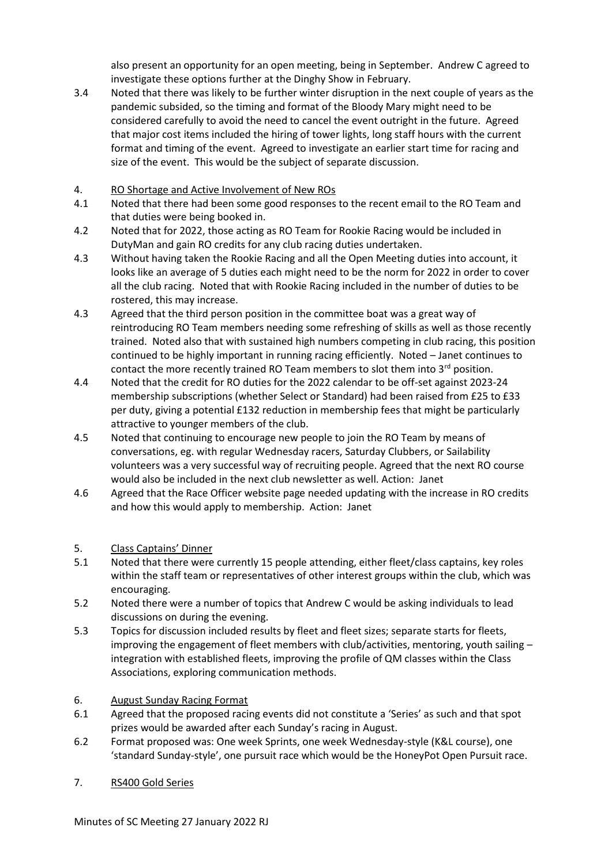also present an opportunity for an open meeting, being in September. Andrew C agreed to investigate these options further at the Dinghy Show in February.

- 3.4 Noted that there was likely to be further winter disruption in the next couple of years as the pandemic subsided, so the timing and format of the Bloody Mary might need to be considered carefully to avoid the need to cancel the event outright in the future. Agreed that major cost items included the hiring of tower lights, long staff hours with the current format and timing of the event. Agreed to investigate an earlier start time for racing and size of the event. This would be the subject of separate discussion.
- 4. RO Shortage and Active Involvement of New ROs
- 4.1 Noted that there had been some good responses to the recent email to the RO Team and that duties were being booked in.
- 4.2 Noted that for 2022, those acting as RO Team for Rookie Racing would be included in DutyMan and gain RO credits for any club racing duties undertaken.
- 4.3 Without having taken the Rookie Racing and all the Open Meeting duties into account, it looks like an average of 5 duties each might need to be the norm for 2022 in order to cover all the club racing. Noted that with Rookie Racing included in the number of duties to be rostered, this may increase.
- 4.3 Agreed that the third person position in the committee boat was a great way of reintroducing RO Team members needing some refreshing of skills as well as those recently trained. Noted also that with sustained high numbers competing in club racing, this position continued to be highly important in running racing efficiently. Noted – Janet continues to contact the more recently trained RO Team members to slot them into  $3<sup>rd</sup>$  position.
- 4.4 Noted that the credit for RO duties for the 2022 calendar to be off-set against 2023-24 membership subscriptions (whether Select or Standard) had been raised from £25 to £33 per duty, giving a potential £132 reduction in membership fees that might be particularly attractive to younger members of the club.
- 4.5 Noted that continuing to encourage new people to join the RO Team by means of conversations, eg. with regular Wednesday racers, Saturday Clubbers, or Sailability volunteers was a very successful way of recruiting people. Agreed that the next RO course would also be included in the next club newsletter as well. Action: Janet
- 4.6 Agreed that the Race Officer website page needed updating with the increase in RO credits and how this would apply to membership. Action: Janet
- 5. Class Captains' Dinner
- 5.1 Noted that there were currently 15 people attending, either fleet/class captains, key roles within the staff team or representatives of other interest groups within the club, which was encouraging.
- 5.2 Noted there were a number of topics that Andrew C would be asking individuals to lead discussions on during the evening.
- 5.3 Topics for discussion included results by fleet and fleet sizes; separate starts for fleets, improving the engagement of fleet members with club/activities, mentoring, youth sailing – integration with established fleets, improving the profile of QM classes within the Class Associations, exploring communication methods.
- 6. August Sunday Racing Format
- 6.1 Agreed that the proposed racing events did not constitute a 'Series' as such and that spot prizes would be awarded after each Sunday's racing in August.
- 6.2 Format proposed was: One week Sprints, one week Wednesday-style (K&L course), one 'standard Sunday-style', one pursuit race which would be the HoneyPot Open Pursuit race.
- 7. RS400 Gold Series